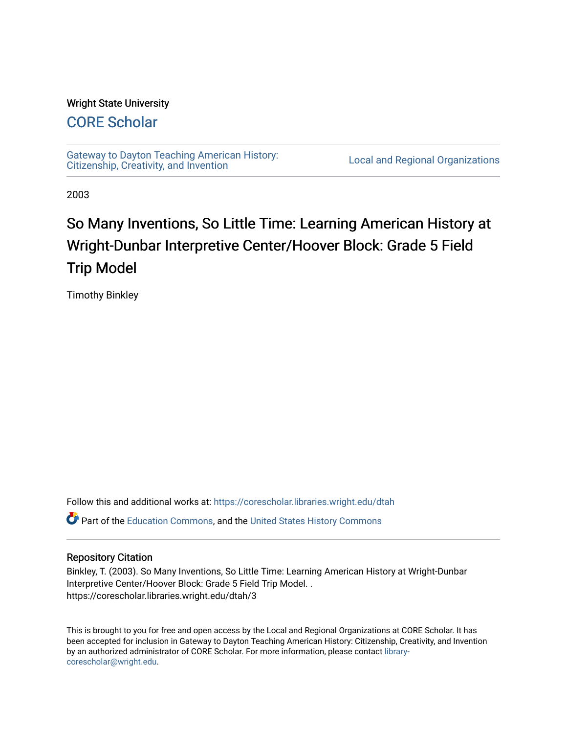#### Wright State University

## [CORE Scholar](https://corescholar.libraries.wright.edu/)

[Gateway to Dayton Teaching American History:](https://corescholar.libraries.wright.edu/dtah)  Gateway to Dayton Teaching American History.<br>Citizenship, Creativity, and Invention

2003

# So Many Inventions, So Little Time: Learning American History at Wright-Dunbar Interpretive Center/Hoover Block: Grade 5 Field Trip Model

Timothy Binkley

Follow this and additional works at: [https://corescholar.libraries.wright.edu/dtah](https://corescholar.libraries.wright.edu/dtah?utm_source=corescholar.libraries.wright.edu%2Fdtah%2F3&utm_medium=PDF&utm_campaign=PDFCoverPages)

Part of the [Education Commons](http://network.bepress.com/hgg/discipline/784?utm_source=corescholar.libraries.wright.edu%2Fdtah%2F3&utm_medium=PDF&utm_campaign=PDFCoverPages), and the [United States History Commons](http://network.bepress.com/hgg/discipline/495?utm_source=corescholar.libraries.wright.edu%2Fdtah%2F3&utm_medium=PDF&utm_campaign=PDFCoverPages) 

#### Repository Citation

Binkley, T. (2003). So Many Inventions, So Little Time: Learning American History at Wright-Dunbar Interpretive Center/Hoover Block: Grade 5 Field Trip Model. . https://corescholar.libraries.wright.edu/dtah/3

This is brought to you for free and open access by the Local and Regional Organizations at CORE Scholar. It has been accepted for inclusion in Gateway to Dayton Teaching American History: Citizenship, Creativity, and Invention by an authorized administrator of CORE Scholar. For more information, please contact [library](mailto:library-corescholar@wright.edu)[corescholar@wright.edu](mailto:library-corescholar@wright.edu).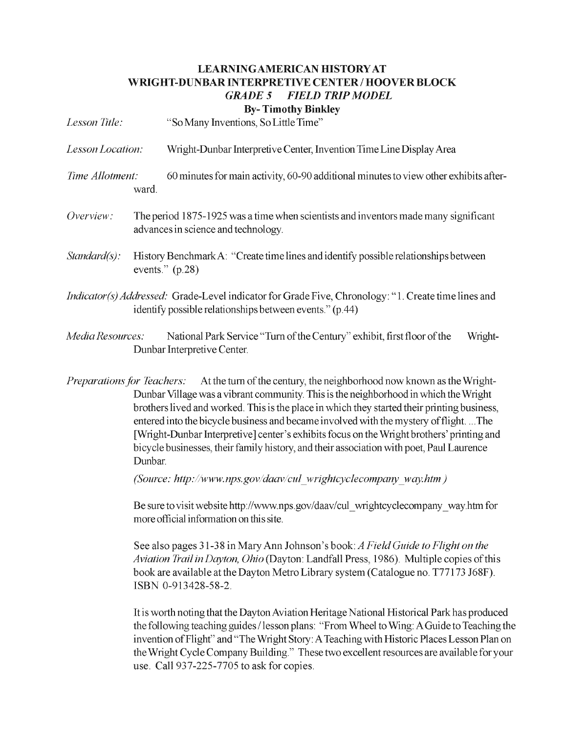#### LEARNINGAMERICAN HISTORY AT WRIGHT-DUNBAR INTERPRETIVE CENTER / HOOVER BLOCK *GRADE* 5 *FJELD TRIP MODEL*  By- Timothy Binkley

*Lesson Title:* "So Many Inventions, So Little Time" *Lesson Location:* Wright-Dunbar Interpretive Center, Invention Time Line Display Area *Time Allotment:* 60 minutes for main activity, 60-90 additional minutes to view other exhibits afterward. *Overview:* The period 1875-1925 was a time when scientists and inventors made many significant advances in science and technology. *Standard(s):* History Benchmark A: "Create time lines and identify possible relationships between events." (p.28)

- *Indicator(s) Addressed:* Grade-Level indicator for Grade Five, Chronology: "1. Create time lines and identify possible relationships between events." (p.44)
- *Media Resources:* National Park Service "Turn of the Century" exhibit, first floor of the Wright-Dunbar Interpretive Center.
- *Preparations for Teachers:* At the turn of the century, the neighborhood now known as the Wright-Dunbar Village was a vibrant community. This is the neighborhood in which the Wright brothers lived and worked. This is the place in which they started their printing business, entered into the bicycle business and became involved with the mystery of flight. ... The [Wright-Dunbar Interpretive] center's exhibits focus on the Wright brothers' printing and bicycle businesses, their family history, and their association with poet, Paul Laurence Dunbar.

*(Source: http://www.nps.gov/daav/cul wrightcyclecompany way.htm)* 

Be sure to visit website http://www.nps.gov/daav/cul\_wrightcyclecompany\_way.htm for more official information on this site.

See also pages 31-38 in Mary Ann Johnson's book: *AFieldGuide to Flight on the Aviation Trail in Dayton, Ohio* (Dayton: Landfall Press, 1986). Multiple copies ofthis book are available at the Dayton Metro Library system (Catalogue no. T77173 J68F). ISBN 0-913428-58-2.

It is worth noting that the Dayton Aviation Heritage National Historical Park has produced the following teaching guides / lesson plans: "From Wheel to Wing: A Guide to Teaching the invention of Flight" and "The Wright Story: A Teaching with Historic Places Lesson Plan on the Wright Cycle Company Building." These two excellent resources are available for your use. Call 937-225-7705 to ask for copies.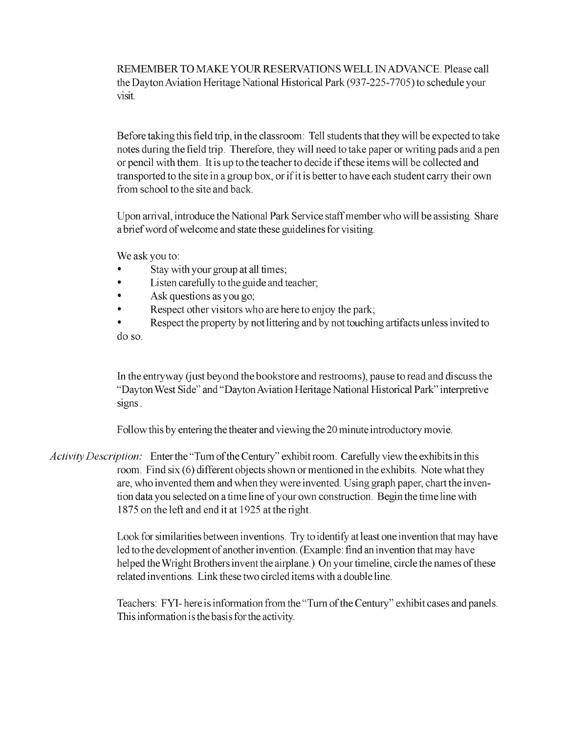REMEMBER TO MAKE YOUR RESERVATIONS WELL IN ADVANCE. Please call the Dayton Aviation Heritage National Historical Park (937-225-7705) to schedule your visit.

Before taking this field trip, in the classroom: Tell students that they will be expected to take notes during the field trip. Therefore, they will need to take paper or writing pads and a pen or pencil with them. Itis up to the teacher to decide ifthese items will be collected and transported to the site in a group box, orifitis better to have each student carry their own from school to the site and back.

Upon arrival, introduce the National Park Service staff member who will be assisting. Share a brief word of welcome and state these guidelines for visiting.

We ask you to:

- Stay with your group at all times;
- Listen carefully to the guide and teacher;
- Ask questions as you go;
- Respect other visitors who are here to enjoy the park;

• Respect the property by not littering and by not touching artifacts unless invited to do so.

In the entry way Gust beyond the bookstore and restrooms), pause to read and discuss the "Dayton West Side" and "Dayton Aviation Heritage National Historical Park" interpretive signs.

Follow this by entering the theater and viewing the 20 minute introductory movie.

*Activity Description:* Enter the "Turn ofthe Century" exhibit room. Carefully view the exhibits in this room. Find six (6) different objects shown or mentioned in the exhibits. Note what they are, who invented them and when they were invented. Using graph paper, chart the invention data you selected on a time line of your own construction. Begin the time line with 1875 on the left and end it at 1925 at the right.

> Look for similarities between inventions. Try to identify at least one invention that may have led to the development of another invention. (Example: find an invention that may have helped the Wright Brothers invent the airplane.) On your timeline, circle the names of these related inventions. Link these two circled items with a double line.

> Teachers: FYI-here is information from the "Turn of the Century" exhibit cases and panels. This information is the basis for the activity.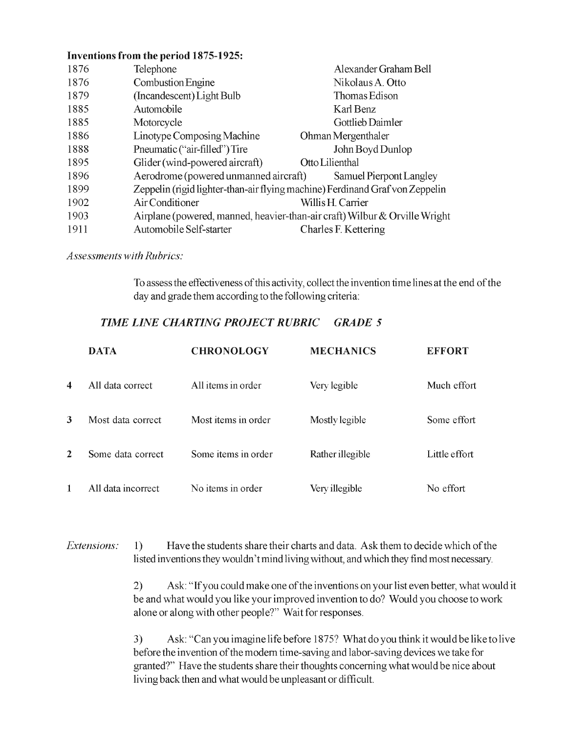#### Inventions from the period 1875-1925:

| 1876 | Telephone                                                                    | Alexander Graham Bell   |
|------|------------------------------------------------------------------------------|-------------------------|
| 1876 | Combustion Engine                                                            | Nikolaus A. Otto        |
| 1879 | (Incandescent) Light Bulb                                                    | Thomas Edison           |
| 1885 | Automobile                                                                   | Karl Benz               |
| 1885 | Motorcycle                                                                   | Gottlieb Daimler        |
| 1886 | Linotype Composing Machine                                                   | Ohman Mergenthaler      |
| 1888 | Pneumatic ("air-filled") Tire                                                | John Boyd Dunlop        |
| 1895 | Glider (wind-powered aircraft)                                               | Otto Lilienthal         |
| 1896 | Aerodrome (powered unmanned aircraft)                                        | Samuel Pierpont Langley |
| 1899 | Zeppelin (rigid lighter-than-air flying machine) Ferdinand Graf von Zeppelin |                         |
| 1902 | Air Conditioner                                                              | Willis H. Carrier       |
| 1903 | Airplane (powered, manned, heavier-than-air craft) Wilbur & Orville Wright   |                         |
| 1911 | Automobile Self-starter                                                      | Charles F. Kettering    |

*Assessments with Rubrics:* 

To assess the effectiveness of this activity, collect the invention time lines at the end of the day and grade them according to the following criteria:

### **TIME LINE CHARTING PROJECT RUBRIC GRADE 5**

|   | <b>DATA</b>        | <b>CHRONOLOGY</b>   | <b>MECHANICS</b> | <b>EFFORT</b> |
|---|--------------------|---------------------|------------------|---------------|
| 4 | All data correct   | All items in order  | Very legible     | Much effort   |
| 3 | Most data correct  | Most items in order | Mostly legible   | Some effort   |
| 2 | Some data correct  | Some items in order | Rather illegible | Little effort |
|   | All data incorrect | No items in order   | Very illegible   | No effort     |

*Extensions:* 1) Have the students share their charts and data. Ask them to decide which of the listed inventions they wouldn't mind living without, and which they find most necessary.

> 2) Ask: "If you could make one of the inventions on your list even better, what would it be and what would you like your improved invention to do? Would you choose to work alone or along with other people?" Wait for responses.

> 3) Ask: "Can you imagine life before 1875? What do you think it would be like to live before the invention of the modern time-saving and labor-saving devices we take for granted?" Have the students share their thoughts concerning what would be nice about living back then and what would be unpleasant or difficult.